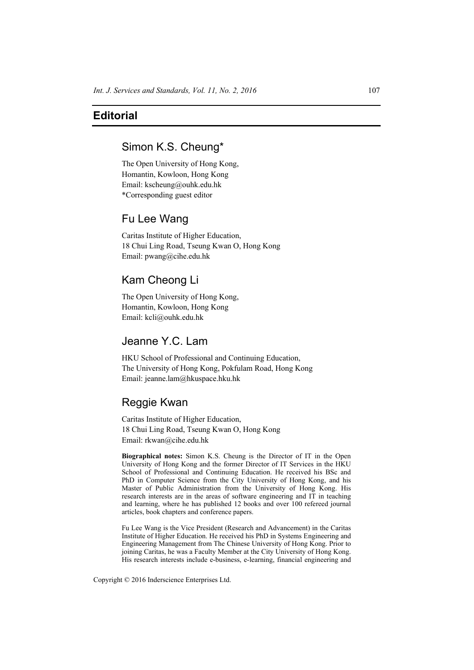## **Editorial**

# Simon K.S. Cheung\*

The Open University of Hong Kong, Homantin, Kowloon, Hong Kong Email: kscheung@ouhk.edu.hk \*Corresponding guest editor

#### Fu Lee Wang

Caritas Institute of Higher Education, 18 Chui Ling Road, Tseung Kwan O, Hong Kong Email: pwang@cihe.edu.hk

## Kam Cheong Li

The Open University of Hong Kong, Homantin, Kowloon, Hong Kong Email: kcli@ouhk.edu.hk

## Jeanne Y.C. Lam

HKU School of Professional and Continuing Education, The University of Hong Kong, Pokfulam Road, Hong Kong Email: jeanne.lam@hkuspace.hku.hk

#### Reggie Kwan

Caritas Institute of Higher Education, 18 Chui Ling Road, Tseung Kwan O, Hong Kong Email: rkwan@cihe.edu.hk

**Biographical notes:** Simon K.S. Cheung is the Director of IT in the Open University of Hong Kong and the former Director of IT Services in the HKU School of Professional and Continuing Education. He received his BSc and PhD in Computer Science from the City University of Hong Kong, and his Master of Public Administration from the University of Hong Kong. His research interests are in the areas of software engineering and IT in teaching and learning, where he has published 12 books and over 100 refereed journal articles, book chapters and conference papers.

Fu Lee Wang is the Vice President (Research and Advancement) in the Caritas Institute of Higher Education. He received his PhD in Systems Engineering and Engineering Management from The Chinese University of Hong Kong. Prior to joining Caritas, he was a Faculty Member at the City University of Hong Kong. His research interests include e-business, e-learning, financial engineering and

Copyright © 2016 Inderscience Enterprises Ltd.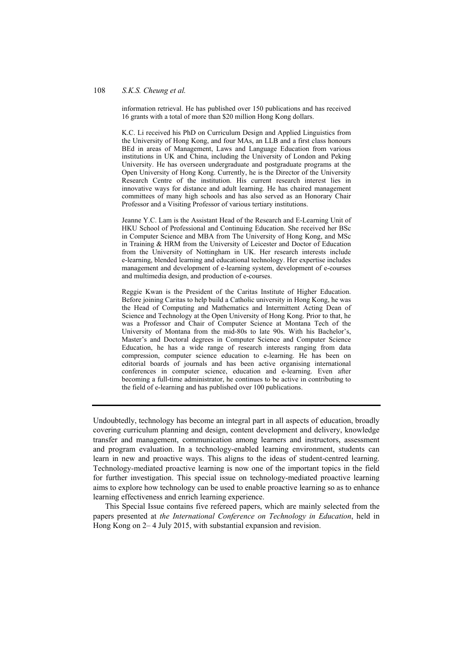#### 108 *S.K.S. Cheung et al.*

information retrieval. He has published over 150 publications and has received 16 grants with a total of more than \$20 million Hong Kong dollars.

K.C. Li received his PhD on Curriculum Design and Applied Linguistics from the University of Hong Kong, and four MAs, an LLB and a first class honours BEd in areas of Management, Laws and Language Education from various institutions in UK and China, including the University of London and Peking University. He has overseen undergraduate and postgraduate programs at the Open University of Hong Kong. Currently, he is the Director of the University Research Centre of the institution. His current research interest lies in innovative ways for distance and adult learning. He has chaired management committees of many high schools and has also served as an Honorary Chair Professor and a Visiting Professor of various tertiary institutions.

Jeanne Y.C. Lam is the Assistant Head of the Research and E-Learning Unit of HKU School of Professional and Continuing Education. She received her BSc in Computer Science and MBA from The University of Hong Kong, and MSc in Training & HRM from the University of Leicester and Doctor of Education from the University of Nottingham in UK. Her research interests include e-learning, blended learning and educational technology. Her expertise includes management and development of e-learning system, development of e-courses and multimedia design, and production of e-courses.

Reggie Kwan is the President of the Caritas Institute of Higher Education. Before joining Caritas to help build a Catholic university in Hong Kong, he was the Head of Computing and Mathematics and Intermittent Acting Dean of Science and Technology at the Open University of Hong Kong. Prior to that, he was a Professor and Chair of Computer Science at Montana Tech of the University of Montana from the mid-80s to late 90s. With his Bachelor's, Master's and Doctoral degrees in Computer Science and Computer Science Education, he has a wide range of research interests ranging from data compression, computer science education to e-learning. He has been on editorial boards of journals and has been active organising international conferences in computer science, education and e-learning. Even after becoming a full-time administrator, he continues to be active in contributing to the field of e-learning and has published over 100 publications.

Undoubtedly, technology has become an integral part in all aspects of education, broadly covering curriculum planning and design, content development and delivery, knowledge transfer and management, communication among learners and instructors, assessment and program evaluation. In a technology-enabled learning environment, students can learn in new and proactive ways. This aligns to the ideas of student-centred learning. Technology-mediated proactive learning is now one of the important topics in the field for further investigation. This special issue on technology-mediated proactive learning aims to explore how technology can be used to enable proactive learning so as to enhance learning effectiveness and enrich learning experience.

This Special Issue contains five refereed papers, which are mainly selected from the papers presented at *the International Conference on Technology in Education*, held in Hong Kong on 2– 4 July 2015, with substantial expansion and revision.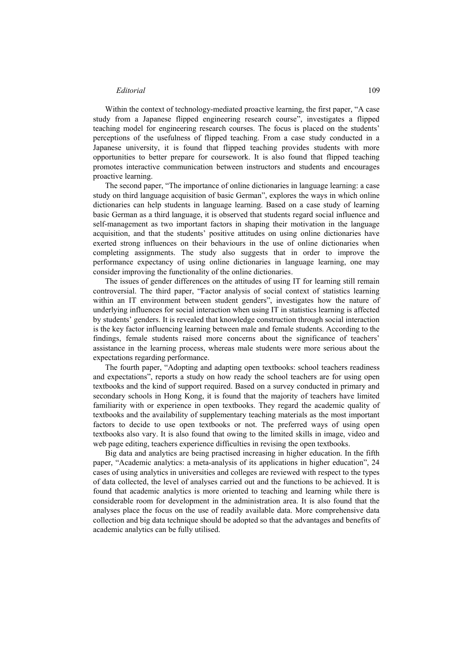#### *Editorial* 109

Within the context of technology-mediated proactive learning, the first paper, "A case study from a Japanese flipped engineering research course", investigates a flipped teaching model for engineering research courses. The focus is placed on the students' perceptions of the usefulness of flipped teaching. From a case study conducted in a Japanese university, it is found that flipped teaching provides students with more opportunities to better prepare for coursework. It is also found that flipped teaching promotes interactive communication between instructors and students and encourages proactive learning.

The second paper, "The importance of online dictionaries in language learning: a case study on third language acquisition of basic German", explores the ways in which online dictionaries can help students in language learning. Based on a case study of learning basic German as a third language, it is observed that students regard social influence and self-management as two important factors in shaping their motivation in the language acquisition, and that the students' positive attitudes on using online dictionaries have exerted strong influences on their behaviours in the use of online dictionaries when completing assignments. The study also suggests that in order to improve the performance expectancy of using online dictionaries in language learning, one may consider improving the functionality of the online dictionaries.

The issues of gender differences on the attitudes of using IT for learning still remain controversial. The third paper, "Factor analysis of social context of statistics learning within an IT environment between student genders", investigates how the nature of underlying influences for social interaction when using IT in statistics learning is affected by students' genders. It is revealed that knowledge construction through social interaction is the key factor influencing learning between male and female students. According to the findings, female students raised more concerns about the significance of teachers' assistance in the learning process, whereas male students were more serious about the expectations regarding performance.

The fourth paper, "Adopting and adapting open textbooks: school teachers readiness and expectations", reports a study on how ready the school teachers are for using open textbooks and the kind of support required. Based on a survey conducted in primary and secondary schools in Hong Kong, it is found that the majority of teachers have limited familiarity with or experience in open textbooks. They regard the academic quality of textbooks and the availability of supplementary teaching materials as the most important factors to decide to use open textbooks or not. The preferred ways of using open textbooks also vary. It is also found that owing to the limited skills in image, video and web page editing, teachers experience difficulties in revising the open textbooks.

Big data and analytics are being practised increasing in higher education. In the fifth paper, "Academic analytics: a meta-analysis of its applications in higher education", 24 cases of using analytics in universities and colleges are reviewed with respect to the types of data collected, the level of analyses carried out and the functions to be achieved. It is found that academic analytics is more oriented to teaching and learning while there is considerable room for development in the administration area. It is also found that the analyses place the focus on the use of readily available data. More comprehensive data collection and big data technique should be adopted so that the advantages and benefits of academic analytics can be fully utilised.